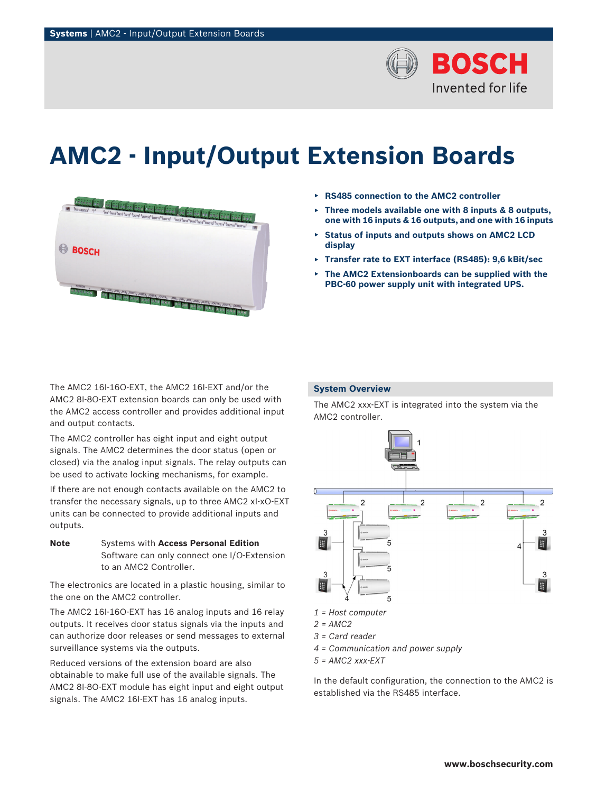

# **AMC2 - Input/Output Extension Boards**



The AMC2 16I-16O-EXT, the AMC2 16I-EXT and/or the AMC2 8I‑8O-EXT extension boards can only be used with the AMC2 access controller and provides additional input and output contacts.

The AMC2 controller has eight input and eight output signals. The AMC2 determines the door status (open or closed) via the analog input signals. The relay outputs can be used to activate locking mechanisms, for example.

If there are not enough contacts available on the AMC2 to transfer the necessary signals, up to three AMC2 xI-xO-EXT units can be connected to provide additional inputs and outputs.

**Note** Systems with **Access Personal Edition** Software can only connect one I/O-Extension to an AMC2 Controller.

The electronics are located in a plastic housing, similar to the one on the AMC2 controller.

The AMC2 16I-16O-EXT has 16 analog inputs and 16 relay outputs. It receives door status signals via the inputs and can authorize door releases or send messages to external surveillance systems via the outputs.

Reduced versions of the extension board are also obtainable to make full use of the available signals. The AMC2 8I-8O-EXT module has eight input and eight output signals. The AMC2 16I-EXT has 16 analog inputs.

- ▶ **RS485 connection to the AMC2 controller**
- ▶ **Three models available one with 8 inputs & 8 outputs, one with 16 inputs & 16 outputs, and one with 16 inputs**
- ▶ **Status of inputs and outputs shows on AMC2 LCD display**
- ▶ **Transfer rate to EXT interface (RS485): 9,6 kBit/sec**
- ▶ **The AMC2 Extensionboards can be supplied with the PBC-60 power supply unit with integrated UPS.**

# **System Overview**

The AMC2 xxx-EXT is integrated into the system via the AMC2 controller.



- *1 = Host computer*
- *2 = AMC2*
- *3 = Card reader*
- *4 = Communication and power supply*
- *5 = AMC2 xxx-EXT*

In the default configuration, the connection to the AMC2 is established via the RS485 interface.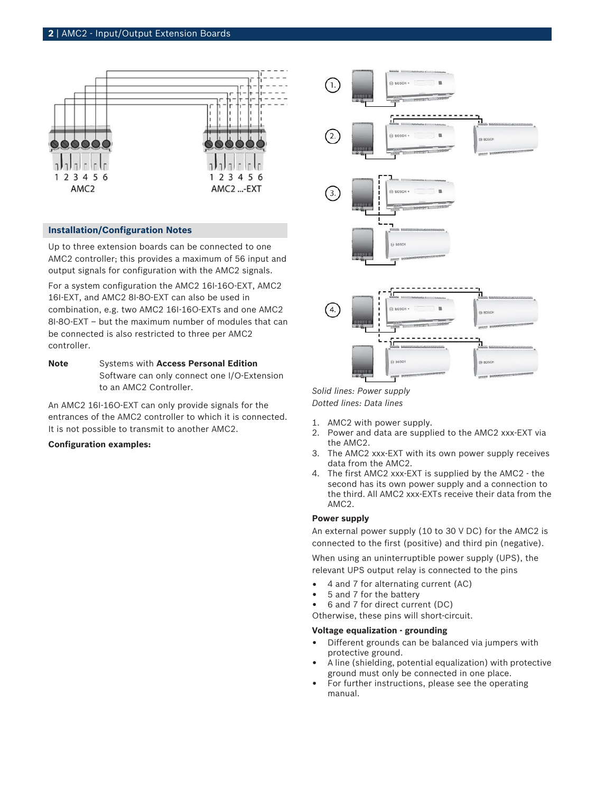

#### **Installation/Configuration Notes**

Up to three extension boards can be connected to one AMC2 controller; this provides a maximum of 56 input and output signals for configuration with the AMC2 signals.

For a system configuration the AMC2 16I-16O-EXT, AMC2 16I-EXT, and AMC2 8I-8O-EXT can also be used in combination, e.g. two AMC2 16I-16O-EXTs and one AMC2 8I-8O-EXT – but the maximum number of modules that can be connected is also restricted to three per AMC2 controller.

**Note** Systems with **Access Personal Edition** Software can only connect one I/O-Extension to an AMC2 Controller.

An AMC2 16I-16O-EXT can only provide signals for the entrances of the AMC2 controller to which it is connected. It is not possible to transmit to another AMC2.

#### **Configuration examples:**



*Solid lines: Power supply Dotted lines: Data lines*

- 1. AMC2 with power supply.
- 2. Power and data are supplied to the AMC2 xxx-EXT via the AMC2.
- 3. The AMC2 xxx-EXT with its own power supply receives data from the AMC2.
- 4. The first AMC2 xxx-EXT is supplied by the AMC2 the second has its own power supply and a connection to the third. All AMC2 xxx-EXTs receive their data from the AMC2.

# **Power supply**

An external power supply (10 to 30 V DC) for the AMC2 is connected to the first (positive) and third pin (negative).

When using an uninterruptible power supply (UPS), the relevant UPS output relay is connected to the pins

- 4 and 7 for alternating current (AC)
- 5 and 7 for the battery
- 6 and 7 for direct current (DC)

Otherwise, these pins will short-circuit.

#### **Voltage equalization - grounding**

- Different grounds can be balanced via jumpers with protective ground.
- A line (shielding, potential equalization) with protective ground must only be connected in one place.
- For further instructions, please see the operating manual.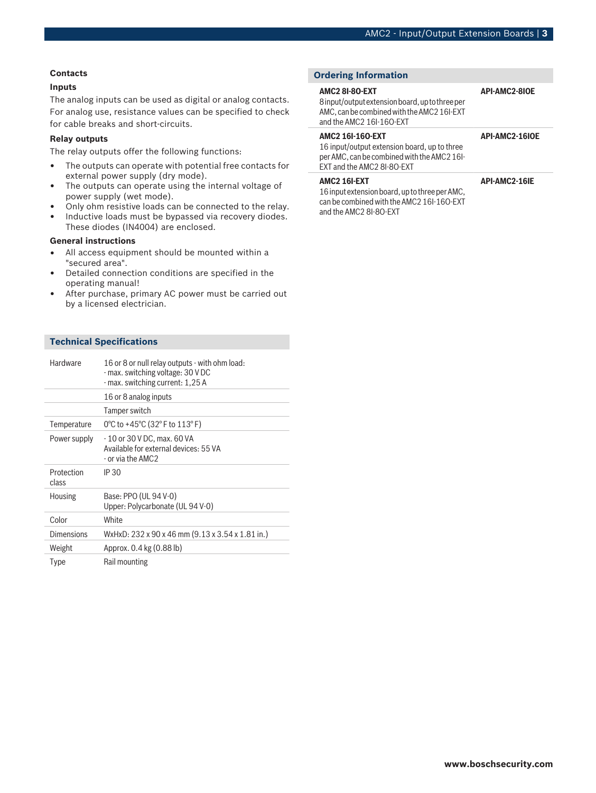#### **Contacts**

# **Inputs**

The analog inputs can be used as digital or analog contacts. For analog use, resistance values can be specified to check for cable breaks and short-circuits.

#### **Relay outputs**

The relay outputs offer the following functions:

- The outputs can operate with potential free contacts for external power supply (dry mode).
- The outputs can operate using the internal voltage of power supply (wet mode).
- Only ohm resistive loads can be connected to the relay.
- Inductive loads must be bypassed via recovery diodes. These diodes (IN4004) are enclosed.

# **General instructions**

- All access equipment should be mounted within a "secured area".
- Detailed connection conditions are specified in the operating manual!
- After purchase, primary AC power must be carried out by a licensed electrician.

# **Technical Specifications**

| <b>Hardware</b>     | 16 or 8 or null relay outputs - with ohm load:<br>- max. switching voltage: 30 V DC<br>- max. switching current: 1,25 A |
|---------------------|-------------------------------------------------------------------------------------------------------------------------|
|                     | 16 or 8 analog inputs                                                                                                   |
|                     | Tamper switch                                                                                                           |
| Temperature         | 0°C to +45°C (32°F to $113$ °F)                                                                                         |
| Power supply        | - 10 or 30 V DC, max. 60 VA<br>Available for external devices: 55 VA<br>- or via the AMC2                               |
| Protection<br>class | IP 30                                                                                                                   |
| Housing             | Base: PPO (UL 94 V-0)<br>Upper: Polycarbonate (UL 94 V-0)                                                               |
| Color               | White                                                                                                                   |
| Dimensions          | WxHxD: 232 x 90 x 46 mm (9.13 x 3.54 x 1.81 in.)                                                                        |
| Weight              | Approx. 0.4 kg (0.88 lb)                                                                                                |
| Type                | Rail mounting                                                                                                           |

# **Ordering Information**

#### **AMC2 8I-8O-EXT**

8 input/output extension board, up to three per AMC, can be combined with the AMC2 16I-EXT and the AMC2 16I-16O-EXT

### **AMC2 16I-16O-EXT**

16 input/output extension board, up to three per AMC, can be combined with the AMC2 16I-EXT and the AMC2 8I-8O-EXT

#### **AMC2 16I-EXT**

16 input extension board, up to three per AMC, can be combined with the AMC2 16I-16O-EXT and the AMC2 8I-8O-EXT

**API-AMC2-8IOE**

#### **API-AMC2-16IOE**

#### **API-AMC2-16IE**